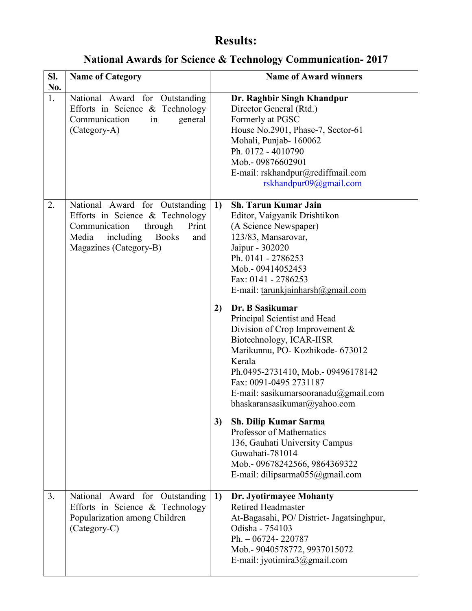## **Results:**

**National Awards for Science & Technology Communication- 2017**

| SI.<br>No. | <b>Name of Category</b>                                                                                                                                                       |                | <b>Name of Award winners</b>                                                                                                                                                                                                                                                                                                                                                                                                                                                                                                                                                                                                                                                                                                           |
|------------|-------------------------------------------------------------------------------------------------------------------------------------------------------------------------------|----------------|----------------------------------------------------------------------------------------------------------------------------------------------------------------------------------------------------------------------------------------------------------------------------------------------------------------------------------------------------------------------------------------------------------------------------------------------------------------------------------------------------------------------------------------------------------------------------------------------------------------------------------------------------------------------------------------------------------------------------------------|
| 1.         | National Award for Outstanding<br>Efforts in Science & Technology<br>Communication<br>general<br>in<br>(Category-A)                                                           |                | Dr. Raghbir Singh Khandpur<br>Director General (Rtd.)<br>Formerly at PGSC<br>House No.2901, Phase-7, Sector-61<br>Mohali, Punjab-160062<br>Ph. 0172 - 4010790<br>Mob.-09876602901<br>E-mail: rskhandpur@rediffmail.com<br>rskhandpur09@gmail.com                                                                                                                                                                                                                                                                                                                                                                                                                                                                                       |
| 2.         | National Award for Outstanding<br>Efforts in Science & Technology<br>Communication<br>through<br>Print<br>Media<br>including<br><b>Books</b><br>and<br>Magazines (Category-B) | 1)<br>2)<br>3) | <b>Sh. Tarun Kumar Jain</b><br>Editor, Vaigyanik Drishtikon<br>(A Science Newspaper)<br>123/83, Mansarovar,<br>Jaipur - 302020<br>Ph. 0141 - 2786253<br>Mob.-09414052453<br>Fax: 0141 - 2786253<br>E-mail: tarunkjainharsh@gmail.com<br>Dr. B Sasikumar<br>Principal Scientist and Head<br>Division of Crop Improvement $\&$<br>Biotechnology, ICAR-IISR<br>Marikunnu, PO-Kozhikode- 673012<br>Kerala<br>Ph.0495-2731410, Mob.- 09496178142<br>Fax: 0091-0495 2731187<br>E-mail: sasikumarsooranadu@gmail.com<br>bhaskaransasikumar@yahoo.com<br><b>Sh. Dilip Kumar Sarma</b><br>Professor of Mathematics<br>136, Gauhati University Campus<br>Guwahati-781014<br>Mob.- 09678242566, 9864369322<br>E-mail: dilipsarma $055@g$ mail.com |
| 3.         | National Award for Outstanding<br>Efforts in Science & Technology<br>Popularization among Children<br>(Category-C)                                                            | 1)             | Dr. Jyotirmayee Mohanty<br><b>Retired Headmaster</b><br>At-Bagasahi, PO/District- Jagatsinghpur,<br>Odisha - 754103<br>Ph. $-06724 - 220787$<br>Mob.- 9040578772, 9937015072<br>E-mail: jyotimira $3@g$ mail.com                                                                                                                                                                                                                                                                                                                                                                                                                                                                                                                       |